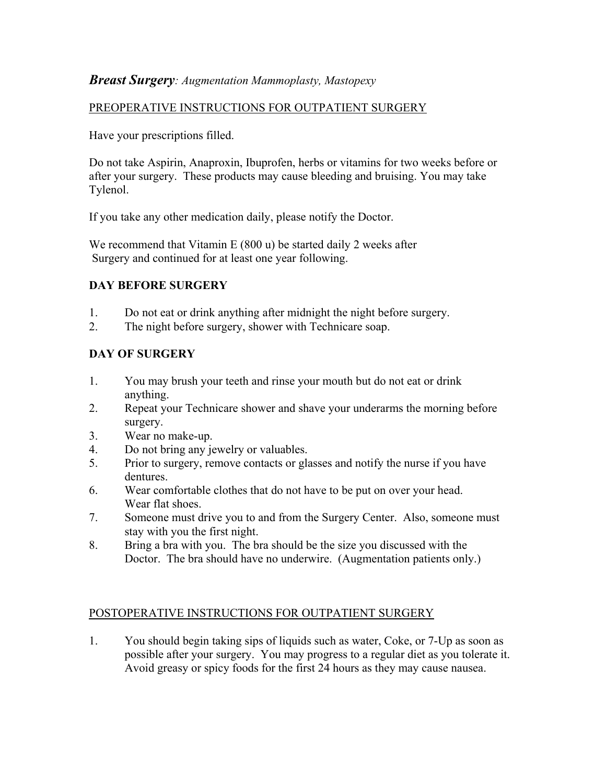# **Breast Surgery:** Augmentation Mammoplasty, Mastopexy

#### PREOPERATIVE INSTRUCTIONS FOR OUTPATIENT SURGERY

Have your prescriptions filled.

Do not take Aspirin, Anaproxin, Ibuprofen, herbs or vitamins for two weeks before or after your surgery. These products may cause bleeding and bruising. You may take Tylenol.

If you take any other medication daily, please notify the Doctor.

We recommend that Vitamin E (800 u) be started daily 2 weeks after Surgery and continued for at least one year following.

# DAY BEFORE SURGERY

- 1. Do not eat or drink anything after midnight the night before surgery.
- 2. The night before surgery, shower with Technicare soap.

# DAY OF SURGERY

- 1. You may brush your teeth and rinse your mouth but do not eat or drink anything.
- 2. Repeat your Technicare shower and shave your underarms the morning before surgery.
- 3. Wear no make-up.
- 4. Do not bring any jewelry or valuables.
- 5. Prior to surgery, remove contacts or glasses and notify the nurse if you have dentures.
- 6. Wear comfortable clothes that do not have to be put on over your head. Wear flat shoes.
- 7. Someone must drive you to and from the Surgery Center. Also, someone must stay with you the first night.
- 8. Bring a bra with you. The bra should be the size you discussed with the Doctor. The bra should have no underwire. (Augmentation patients only.)

#### POSTOPERATIVE INSTRUCTIONS FOR OUTPATIENT SURGERY

1. You should begin taking sips of liquids such as water, Coke, or 7-Up as soon as possible after your surgery. You may progress to a regular diet as you tolerate it. Avoid greasy or spicy foods for the first 24 hours as they may cause nausea.